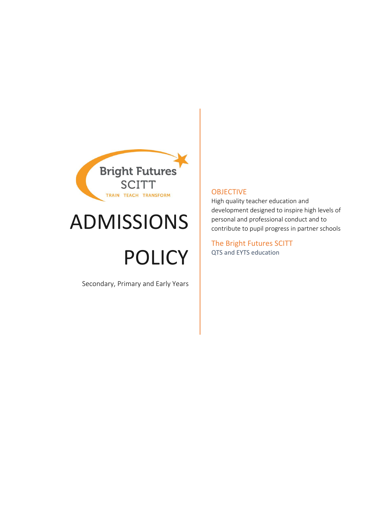

# ADMISSIONS

# POLICY

Secondary, Primary and Early Years

#### **OBJECTIVE**

High quality teacher education and development designed to inspire high levels of personal and professional conduct and to contribute to pupil progress in partner schools

The Bright Futures SCITT QTS and EYTS education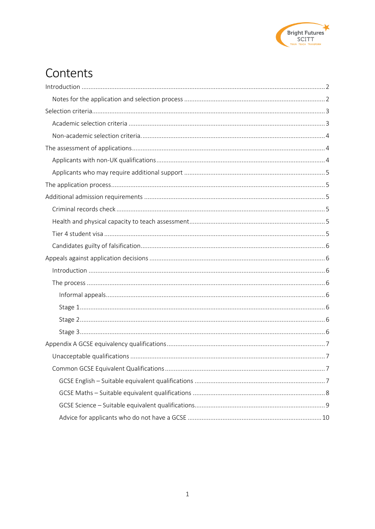

## Contents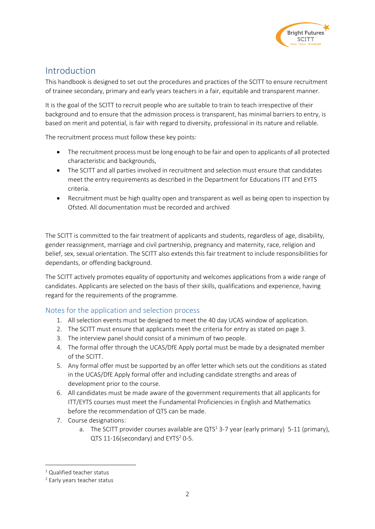

## <span id="page-2-0"></span>Introduction

This handbook is designed to set out the procedures and practices of the SCITT to ensure recruitment of trainee secondary, primary and early years teachers in a fair, equitable and transparent manner.

It is the goal of the SCITT to recruit people who are suitable to train to teach irrespective of their background and to ensure that the admission process is transparent, has minimal barriers to entry, is based on merit and potential, is fair with regard to diversity, professional in its nature and reliable.

The recruitment process must follow these key points:

- The recruitment process must be long enough to be fair and open to applicants of all protected characteristic and backgrounds,
- The SCITT and all parties involved in recruitment and selection must ensure that candidates meet the entry requirements as described in the Department for Educations ITT and EYTS criteria.
- Recruitment must be high quality open and transparent as well as being open to inspection by Ofsted. All documentation must be recorded and archived

The SCITT is committed to the fair treatment of applicants and students, regardless of age, disability, gender reassignment, marriage and civil partnership, pregnancy and maternity, race, religion and belief, sex, sexual orientation. The SCITT also extends this fair treatment to include responsibilities for dependants, or offending background.

The SCITT actively promotes equality of opportunity and welcomes applications from a wide range of candidates. Applicants are selected on the basis of their skills, qualifications and experience, having regard for the requirements of the programme.

#### <span id="page-2-1"></span>Notes for the application and selection process

- 1. All selection events must be designed to meet the 40 day UCAS window of application.
- 2. The SCITT must ensure that applicants meet the criteria for entry as stated [on page 3.](#page-3-0)
- 3. The interview panel should consist of a minimum of two people.
- 4. The formal offer through the UCAS/DfE Apply portal must be made by a designated member of the SCITT.
- 5. Any formal offer must be supported by an offer letter which sets out the conditions as stated in the UCAS/DfE Apply formal offer and including candidate strengths and areas of development prior to the course.
- 6. All candidates must be made aware of the government requirements that all applicants for ITT/EYTS courses must meet the Fundamental Proficiencies in English and Mathematics before the recommendation of QTS can be made.
- 7. Course designations:
	- a. The SCITT provider courses available are QTS<sup>1</sup> 3-7 year (early primary) 5-11 (primary), QTS  $11-16$ (secondary) and EYTS<sup>2</sup> 0-5.

<sup>1</sup> Qualified teacher status

<sup>2</sup> Early years teacher status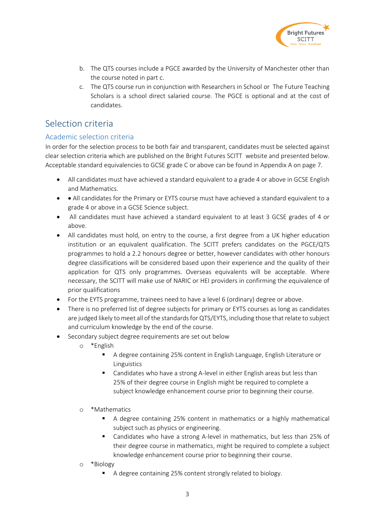

- b. The QTS courses include a PGCE awarded by the University of Manchester other than the course noted in part c.
- c. The QTS course run in conjunction with Researchers in School or The Future Teaching Scholars is a school direct salaried course. The PGCE is optional and at the cost of candidates.

## <span id="page-3-0"></span>Selection criteria

#### <span id="page-3-1"></span>Academic selection criteria

In order for the selection process to be both fair and transparent, candidates must be selected against clear selection criteria which are published on the Bright Futures SCITT website and presented below. Acceptable standard equivalencies to GCSE grade C or above can be found in [Appendix A](#page-7-0) on page [7.](#page-7-0)

- All candidates must have achieved a standard equivalent to a grade 4 or above in GCSE English and Mathematics.
- • All candidates for the Primary or EYTS course must have achieved a standard equivalent to a grade 4 or above in a GCSE Science subject.
- All candidates must have achieved a standard equivalent to at least 3 GCSE grades of 4 or above.
- All candidates must hold, on entry to the course, a first degree from a UK higher education institution or an equivalent qualification. The SCITT prefers candidates on the PGCE/QTS programmes to hold a 2.2 honours degree or better, however candidates with other honours degree classifications will be considered based upon their experience and the quality of their application for QTS only programmes. Overseas equivalents will be acceptable. Where necessary, the SCITT will make use of NARIC or HEI providers in confirming the equivalence of prior qualifications
- For the EYTS programme, trainees need to have a level 6 (ordinary) degree or above.
- There is no preferred list of degree subjects for primary or EYTS courses as long as candidates are judged likely to meet all of the standards for QTS/EYTS, including those that relate to subject and curriculum knowledge by the end of the course.
- Secondary subject degree requirements are set out below
	- o \*English
		- A degree containing 25% content in English Language, English Literature or Linguistics
		- Candidates who have a strong A-level in either English areas but less than 25% of their degree course in English might be required to complete a subject knowledge enhancement course prior to beginning their course.
	- o \*Mathematics
		- A degree containing 25% content in mathematics or a highly mathematical subject such as physics or engineering.
		- Candidates who have a strong A-level in mathematics, but less than 25% of their degree course in mathematics, might be required to complete a subject knowledge enhancement course prior to beginning their course.
	- o \*Biology
		- A degree containing 25% content strongly related to biology.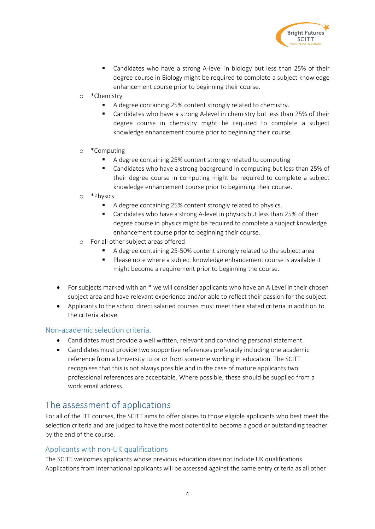

- Candidates who have a strong A-level in biology but less than 25% of their degree course in Biology might be required to complete a subject knowledge enhancement course prior to beginning their course.
- o \*Chemistry
	- A degree containing 25% content strongly related to chemistry.
	- Candidates who have a strong A-level in chemistry but less than 25% of their degree course in chemistry might be required to complete a subject knowledge enhancement course prior to beginning their course.
- o \*Computing
	- A degree containing 25% content strongly related to computing
	- Candidates who have a strong background in computing but less than 25% of their degree course in computing might be required to complete a subject knowledge enhancement course prior to beginning their course.
- o \*Physics
	- A degree containing 25% content strongly related to physics.
	- Candidates who have a strong A-level in physics but less than 25% of their degree course in physics might be required to complete a subject knowledge enhancement course prior to beginning their course.
- o For all other subject areas offered
	- A degree containing 25-50% content strongly related to the subject area
	- Please note where a subject knowledge enhancement course is available it might become a requirement prior to beginning the course.
- For subjects marked with an \* we will consider applicants who have an A Level in their chosen subject area and have relevant experience and/or able to reflect their passion for the subject.
- Applicants to the school direct salaried courses must meet their stated criteria in addition to the criteria above.

#### <span id="page-4-0"></span>Non-academic selection criteria.

- Candidates must provide a well written, relevant and convincing personal statement.
- Candidates must provide two supportive references preferably including one academic reference from a University tutor or from someone working in education. The SCITT recognises that this is not always possible and in the case of mature applicants two professional references are acceptable. Where possible, these should be supplied from a work email address.

## <span id="page-4-1"></span>The assessment of applications

For all of the ITT courses, the SCITT aims to offer places to those eligible applicants who best meet the selection criteria and are judged to have the most potential to become a good or outstanding teacher by the end of the course.

#### <span id="page-4-2"></span>Applicants with non-UK qualifications

The SCITT welcomes applicants whose previous education does not include UK qualifications. Applications from international applicants will be assessed against the same entry criteria as all other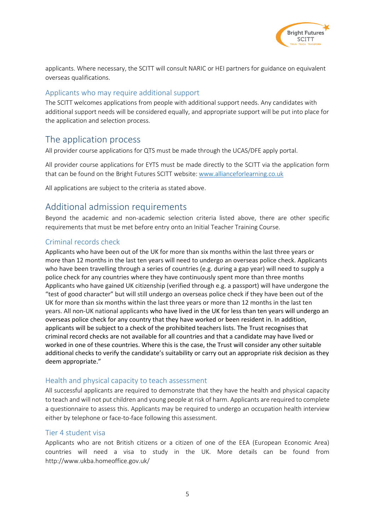

applicants. Where necessary, the SCITT will consult NARIC or HEI partners for guidance on equivalent overseas qualifications.

#### <span id="page-5-0"></span>Applicants who may require additional support

The SCITT welcomes applications from people with additional support needs. Any candidates with additional support needs will be considered equally, and appropriate support will be put into place for the application and selection process.

### <span id="page-5-1"></span>The application process

All provider course applications for QTS must be made through the UCAS/DFE apply portal.

All provider course applications for EYTS must be made directly to the SCITT via the application form that can be found on the Bright Futures SCITT website: [www.allianceforlearning.co.uk](http://www.allianceforlearning.co.uk/)

All applications are subject to the criteria as stated above.

## <span id="page-5-2"></span>Additional admission requirements

Beyond the academic and non-academic selection criteria listed above, there are other specific requirements that must be met before entry onto an Initial Teacher Training Course.

#### <span id="page-5-3"></span>Criminal records check

<span id="page-5-4"></span>Applicants who have been out of the UK for more than six months within the last three years or more than 12 months in the last ten years will need to undergo an overseas police check. Applicants who have been travelling through a series of countries (e.g. during a gap year) will need to supply a police check for any countries where they have continuously spent more than three months Applicants who have gained UK citizenship (verified through e.g. a passport) will have undergone the "test of good character" but will still undergo an overseas police check if they have been out of the UK for more than six months within the last three years or more than 12 months in the last ten years. All non-UK national applicants who have lived in the UK for less than ten years will undergo an overseas police check for any country that they have worked or been resident in. In addition, applicants will be subject to a check of the prohibited teachers lists. The Trust recognises that criminal record checks are not available for all countries and that a candidate may have lived or worked in one of these countries. Where this is the case, the Trust will consider any other suitable additional checks to verify the candidate's suitability or carry out an appropriate risk decision as they deem appropriate."

#### Health and physical capacity to teach assessment

All successful applicants are required to demonstrate that they have the health and physical capacity to teach and will not put children and young people at risk of harm. Applicants are required to complete a questionnaire to assess this. Applicants may be required to undergo an occupation health interview either by telephone or face-to-face following this assessment.

#### <span id="page-5-5"></span>Tier 4 student visa

Applicants who are not British citizens or a citizen of one of the EEA (European Economic Area) countries will need a visa to study in the UK. More details can be found from http://www.ukba.homeoffice.gov.uk/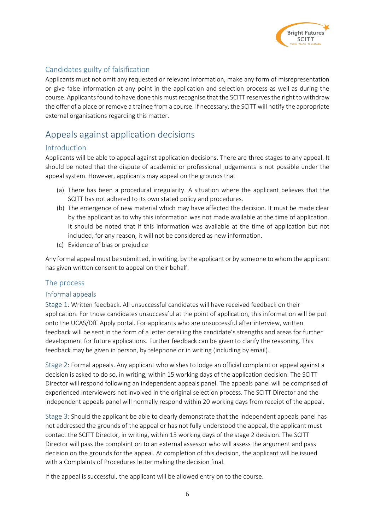

### <span id="page-6-0"></span>Candidates guilty of falsification

Applicants must not omit any requested or relevant information, make any form of misrepresentation or give false information at any point in the application and selection process as well as during the course. Applicants found to have done this must recognise that the SCITT reserves the right to withdraw the offer of a place or remove a trainee from a course. If necessary, the SCITT will notify the appropriate external organisations regarding this matter.

## <span id="page-6-1"></span>Appeals against application decisions

#### <span id="page-6-2"></span>Introduction

Applicants will be able to appeal against application decisions. There are three stages to any appeal. It should be noted that the dispute of academic or professional judgements is not possible under the appeal system. However, applicants may appeal on the grounds that

- (a) There has been a procedural irregularity. A situation where the applicant believes that the SCITT has not adhered to its own stated policy and procedures.
- (b) The emergence of new material which may have affected the decision. It must be made clear by the applicant as to why this information was not made available at the time of application. It should be noted that if this information was available at the time of application but not included, for any reason, it will not be considered as new information.
- (c) Evidence of bias or prejudice

Any formal appeal must be submitted, in writing, by the applicant or by someone to whom the applicant has given written consent to appeal on their behalf.

#### <span id="page-6-3"></span>The process

#### <span id="page-6-4"></span>Informal appeals

<span id="page-6-5"></span>Stage 1: Written feedback. All unsuccessful candidates will have received feedback on their application. For those candidates unsuccessful at the point of application, this information will be put onto the UCAS/DfE Apply portal. For applicants who are unsuccessful after interview, written feedback will be sent in the form of a letter detailing the candidate's strengths and areas for further development for future applications. Further feedback can be given to clarify the reasoning. This feedback may be given in person, by telephone or in writing (including by email).

<span id="page-6-6"></span>Stage 2: Formal appeals. Any applicant who wishes to lodge an official complaint or appeal against a decision is asked to do so, in writing, within 15 working days of the application decision. The SCITT Director will respond following an independent appeals panel. The appeals panel will be comprised of experienced interviewers not involved in the original selection process. The SCITT Director and the independent appeals panel will normally respond within 20 working days from receipt of the appeal.

<span id="page-6-7"></span>Stage 3: Should the applicant be able to clearly demonstrate that the independent appeals panel has not addressed the grounds of the appeal or has not fully understood the appeal, the applicant must contact the SCITT Director, in writing, within 15 working days of the stage 2 decision. The SCITT Director will pass the complaint on to an external assessor who will assess the argument and pass decision on the grounds for the appeal. At completion of this decision, the applicant will be issued with a Complaints of Procedures letter making the decision final.

If the appeal is successful, the applicant will be allowed entry on to the course.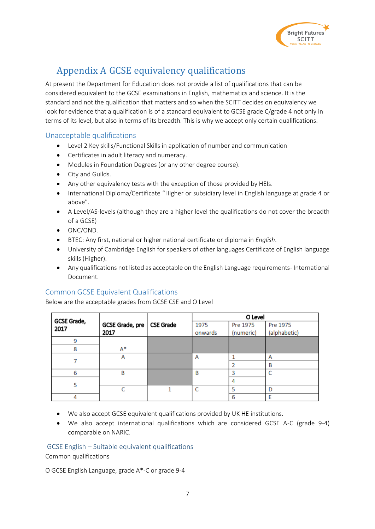

## <span id="page-7-0"></span>Appendix A GCSE equivalency qualifications

At present the Department for Education does not provide a list of qualifications that can be considered equivalent to the GCSE examinations in English, mathematics and science. It is the standard and not the qualification that matters and so when the SCITT decides on equivalency we look for evidence that a qualification is of a standard equivalent to GCSE grade C/grade 4 not only in terms of its level, but also in terms of its breadth. This is why we accept only certain qualifications.

#### <span id="page-7-1"></span>Unacceptable qualifications

- Level 2 Key skills/Functional Skills in application of number and communication
- Certificates in adult literacy and numeracy.
- Modules in Foundation Degrees (or any other degree course).
- City and Guilds.
- Any other equivalency tests with the exception of those provided by HEIs.
- International Diploma/Certificate "Higher or subsidiary level in English language at grade 4 or above".
- A Level/AS-levels (although they are a higher level the qualifications do not cover the breadth of a GCSE)
- ONC/OND.
- BTEC: Any first, national or higher national certificate or diploma in *English*.
- University of Cambridge English for speakers of other languages Certificate of English language skills (Higher).
- Any qualifications not listed as acceptable on the English Language requirements- International Document.

#### <span id="page-7-2"></span>Common GCSE Equivalent Qualifications

Below are the acceptable grades from GCSE CSE and O Level

| GCSE Grade, |                 |                  | O Level |           |              |
|-------------|-----------------|------------------|---------|-----------|--------------|
| 2017        | GCSE Grade, pre | <b>CSE Grade</b> | 1975    | Pre 1975  | Pre 1975     |
|             | 2017            |                  | onwards | (numeric) | (alphabetic) |
| 9           |                 |                  |         |           |              |
| 8           | A*              |                  |         |           |              |
|             | А               |                  | А       |           |              |
|             |                 |                  |         |           | B            |
| 6           | В               |                  | B       |           |              |
| 5           |                 |                  |         | 4         |              |
|             |                 |                  | C       |           |              |
|             |                 |                  |         | 6         |              |

- We also accept GCSE equivalent qualifications provided by UK HE institutions.
- We also accept international qualifications which are considered GCSE A-C (grade 9-4) comparable on NARIC.

<span id="page-7-3"></span>GCSE English – Suitable equivalent qualifications

Common qualifications

O GCSE English Language, grade A\*-C or grade 9-4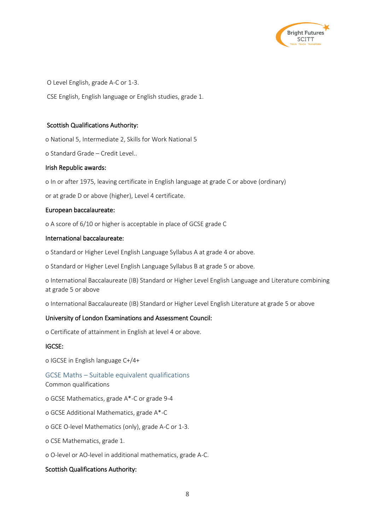

O Level English, grade A-C or 1-3.

CSE English, English language or English studies, grade 1.

#### Scottish Qualifications Authority:

o National 5, Intermediate 2, Skills for Work National 5

o Standard Grade – Credit Level..

#### Irish Republic awards:

o In or after 1975, leaving certificate in English language at grade C or above (ordinary)

or at grade D or above (higher), Level 4 certificate.

#### European baccalaureate:

o A score of 6/10 or higher is acceptable in place of GCSE grade C

#### International baccalaureate:

o Standard or Higher Level English Language Syllabus A at grade 4 or above.

o Standard or Higher Level English Language Syllabus B at grade 5 or above.

o International Baccalaureate (IB) Standard or Higher Level English Language and Literature combining at grade 5 or above

o International Baccalaureate (IB) Standard or Higher Level English Literature at grade 5 or above

#### University of London Examinations and Assessment Council:

o Certificate of attainment in English at level 4 or above.

#### IGCSE:

o IGCSE in English language C+/4+

#### <span id="page-8-0"></span>GCSE Maths – Suitable equivalent qualifications

Common qualifications

- o GCSE Mathematics, grade A\*-C or grade 9-4
- o GCSE Additional Mathematics, grade A\*-C
- o GCE O-level Mathematics (only), grade A-C or 1-3.
- o CSE Mathematics, grade 1.
- o O-level or AO-level in additional mathematics, grade A-C.

#### Scottish Qualifications Authority: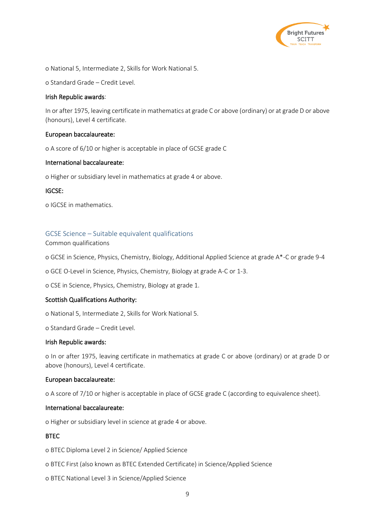

o National 5, Intermediate 2, Skills for Work National 5.

o Standard Grade – Credit Level.

#### Irish Republic awards:

In or after 1975, leaving certificate in mathematics at grade C or above (ordinary) or at grade D or above (honours), Level 4 certificate.

#### European baccalaureate:

o A score of 6/10 or higher is acceptable in place of GCSE grade C

#### International baccalaureate:

o Higher or subsidiary level in mathematics at grade 4 or above.

#### IGCSE:

o IGCSE in mathematics.

#### <span id="page-9-0"></span>GCSE Science – Suitable equivalent qualifications

#### Common qualifications

o GCSE in Science, Physics, Chemistry, Biology, Additional Applied Science at grade A\*-C or grade 9-4

o GCE O-Level in Science, Physics, Chemistry, Biology at grade A-C or 1-3.

o CSE in Science, Physics, Chemistry, Biology at grade 1.

#### Scottish Qualifications Authority:

o National 5, Intermediate 2, Skills for Work National 5.

o Standard Grade – Credit Level.

#### Irish Republic awards:

o In or after 1975, leaving certificate in mathematics at grade C or above (ordinary) or at grade D or above (honours), Level 4 certificate.

#### European baccalaureate:

o A score of 7/10 or higher is acceptable in place of GCSE grade C (according to equivalence sheet).

#### International baccalaureate:

o Higher or subsidiary level in science at grade 4 or above.

#### **BTEC**

o BTEC Diploma Level 2 in Science/ Applied Science

- o BTEC First (also known as BTEC Extended Certificate) in Science/Applied Science
- o BTEC National Level 3 in Science/Applied Science